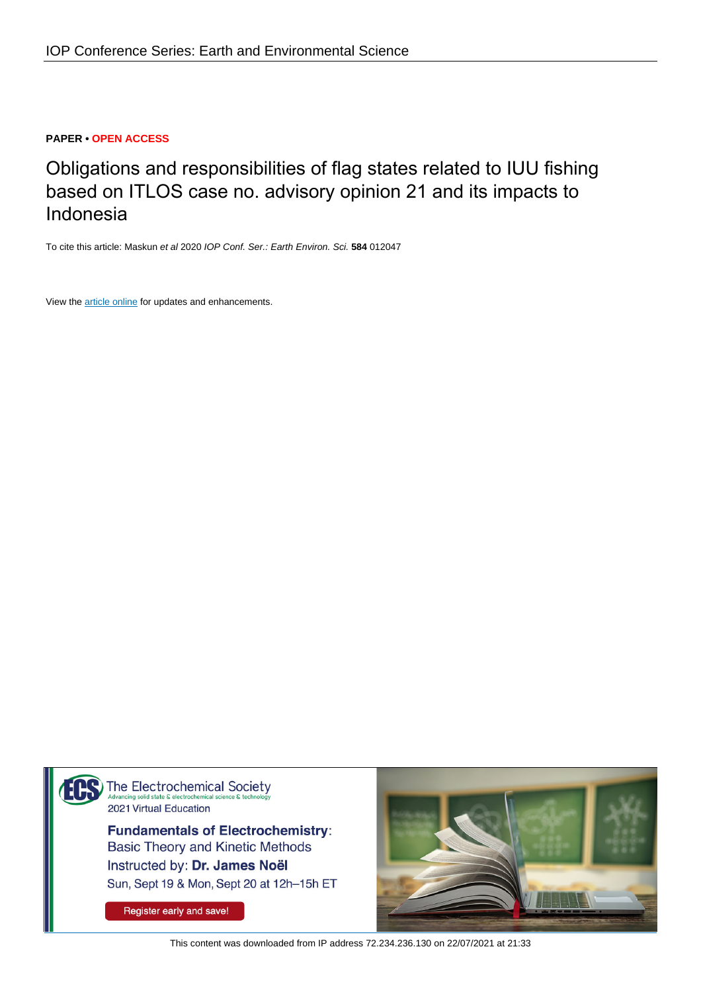# **PAPER • OPEN ACCESS**

Obligations and responsibilities of flag states related to IUU fishing based on ITLOS case no. advisory opinion 21 and its impacts to Indonesia

To cite this article: Maskun et al 2020 IOP Conf. Ser.: Earth Environ. Sci. **584** 012047

View the [article online](https://doi.org/10.1088/1755-1315/584/1/012047) for updates and enhancements.



**Fundamentals of Electrochemistry: Basic Theory and Kinetic Methods** Instructed by: Dr. James Noël Sun, Sept 19 & Mon, Sept 20 at 12h-15h ET

Register early and save!



This content was downloaded from IP address 72.234.236.130 on 22/07/2021 at 21:33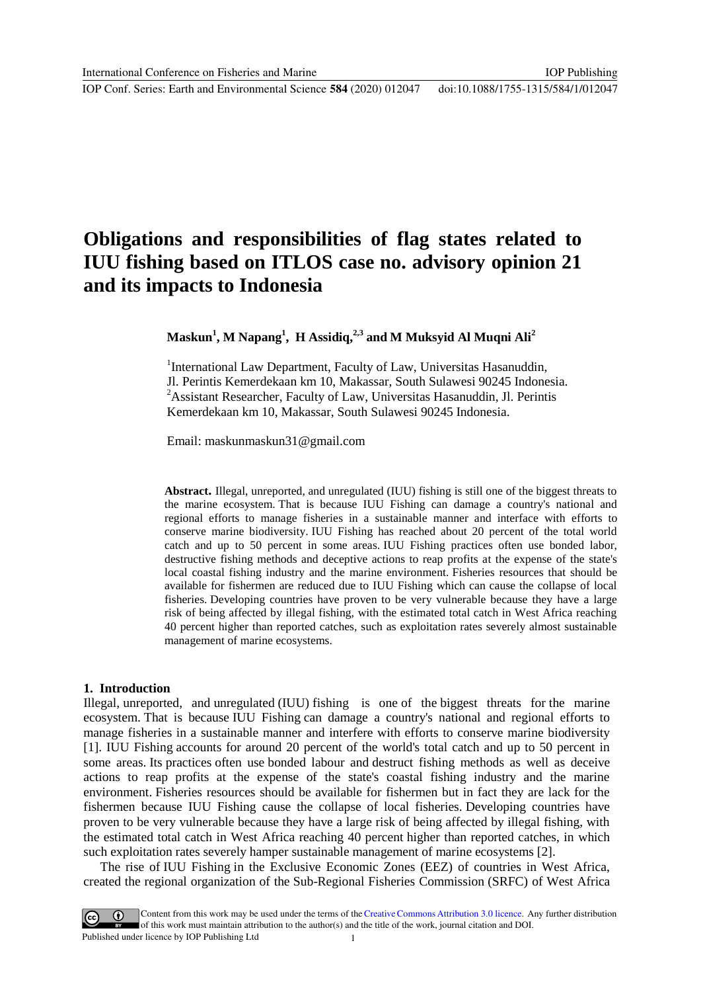IOP Conf. Series: Earth and Environmental Science **584** (2020) 012047 doi:10.1088/1755-1315/584/1/012047

# **Obligations and responsibilities of flag states related to IUU fishing based on ITLOS case no. advisory opinion 21 and its impacts to Indonesia**

**Maskun<sup>1</sup> , M Napang<sup>1</sup> , H Assidiq,2,3 and M Muksyid Al Muqni Ali<sup>2</sup>**

<sup>1</sup>International Law Department, Faculty of Law, Universitas Hasanuddin, Jl. Perintis Kemerdekaan km 10, Makassar, South Sulawesi 90245 Indonesia. <sup>2</sup> Assistant Researcher, Faculty of Law, Universitas Hasanuddin, Jl. Perintis Kemerdekaan km 10, Makassar, South Sulawesi 90245 Indonesia.

Email: [maskunmaskun31@gmail.com](mailto:maskunmaskun31@gmail.com)

**Abstract.** Illegal, unreported, and unregulated (IUU) fishing is still one of the biggest threats to the marine ecosystem. That is because IUU Fishing can damage a country's national and regional efforts to manage fisheries in a sustainable manner and interface with efforts to conserve marine biodiversity. IUU Fishing has reached about 20 percent of the total world catch and up to 50 percent in some areas. IUU Fishing practices often use bonded labor, destructive fishing methods and deceptive actions to reap profits at the expense of the state's local coastal fishing industry and the marine environment. Fisheries resources that should be available for fishermen are reduced due to IUU Fishing which can cause the collapse of local fisheries. Developing countries have proven to be very vulnerable because they have a large risk of being affected by illegal fishing, with the estimated total catch in West Africa reaching 40 percent higher than reported catches, such as exploitation rates severely almost sustainable management of marine ecosystems.

## **1. Introduction**

Illegal, unreported, and unregulated (IUU) fishing is one of the biggest threats for the marine ecosystem. That is because IUU Fishing can damage a country's national and regional efforts to manage fisheries in a sustainable manner and interfere with efforts to conserve marine biodiversity [1]. IUU Fishing accounts for around 20 percent of the world's total catch and up to 50 percent in some areas. Its practices often use bonded labour and destruct fishing methods as well as deceive actions to reap profits at the expense of the state's coastal fishing industry and the marine environment. Fisheries resources should be available for fishermen but in fact they are lack for the fishermen because IUU Fishing cause the collapse of local fisheries. Developing countries have proven to be very vulnerable because they have a large risk of being affected by illegal fishing, with the estimated total catch in West Africa reaching 40 percent higher than reported catches, in which such exploitation rates severely hamper sustainable management of marine ecosystems [2].

The rise of IUU Fishing in the Exclusive Economic Zones (EEZ) of countries in West Africa, created the regional organization of the Sub-Regional Fisheries Commission (SRFC) of West Africa

Content from this work may be used under the terms of the Creative Commons Attribution 3.0 licence. Any further distribution of this work must maintain attribution to the author(s) and the title of the work, journal citation and DOI. Published under licence by IOP Publishing Ltd 1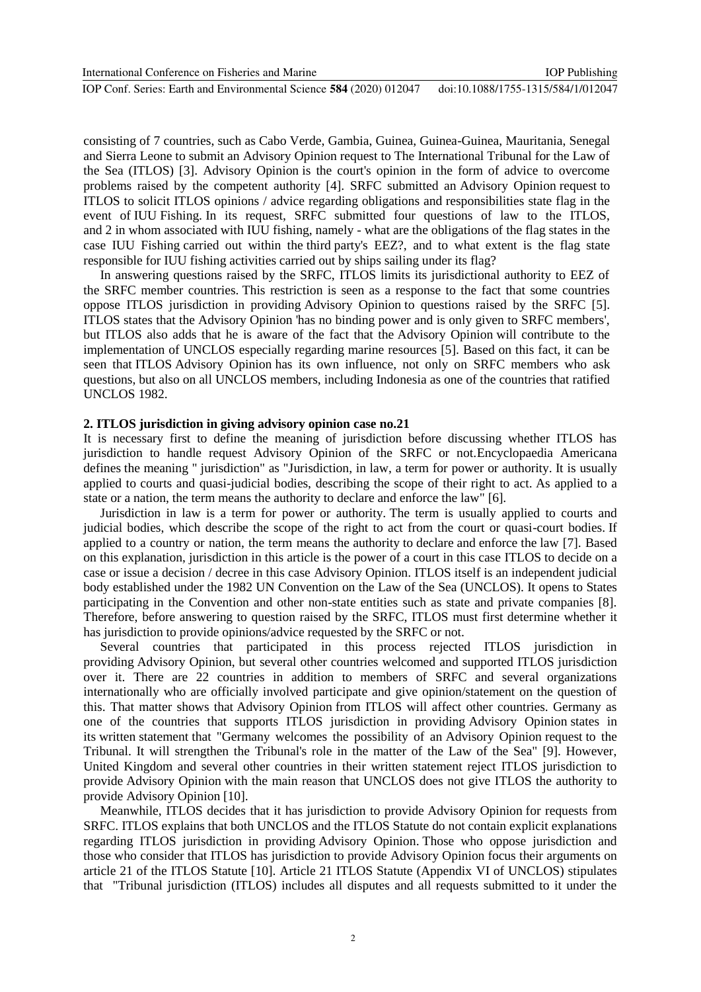IOP Conf. Series: Earth and Environmental Science **584** (2020) 012047 doi:10.1088/1755-1315/584/1/012047

consisting of 7 countries, such as Cabo Verde, Gambia, Guinea, Guinea-Guinea, Mauritania, Senegal and Sierra Leone to submit an Advisory Opinion request to The International Tribunal for the Law of the Sea (ITLOS) [3]. Advisory Opinion is the court's opinion in the form of advice to overcome problems raised by the competent authority [4]. SRFC submitted an Advisory Opinion request to ITLOS to solicit ITLOS opinions / advice regarding obligations and responsibilities state flag in the event of IUU Fishing. In its request, SRFC submitted four questions of law to the ITLOS, and 2 in whom associated with IUU fishing, namely - what are the obligations of the flag states in the case IUU Fishing carried out within the third party's EEZ?, and to what extent is the flag state responsible for IUU fishing activities carried out by ships sailing under its flag?

In answering questions raised by the SRFC, ITLOS limits its jurisdictional authority to EEZ of the SRFC member countries. This restriction is seen as a response to the fact that some countries oppose ITLOS jurisdiction in providing Advisory Opinion to questions raised by the SRFC [5]. ITLOS states that the Advisory Opinion 'has no binding power and is only given to SRFC members', but ITLOS also adds that he is aware of the fact that the Advisory Opinion will contribute to the implementation of UNCLOS especially regarding marine resources [5]. Based on this fact, it can be seen that ITLOS Advisory Opinion has its own influence, not only on SRFC members who ask questions, but also on all UNCLOS members, including Indonesia as one of the countries that ratified UNCLOS 1982.

#### **2. ITLOS jurisdiction in giving advisory opinion case no.21**

It is necessary first to define the meaning of jurisdiction before discussing whether ITLOS has jurisdiction to handle request Advisory Opinion of the SRFC or not.Encyclopaedia Americana defines the meaning " jurisdiction" as "Jurisdiction, in law, a term for power or authority. It is usually applied to courts and quasi-judicial bodies, describing the scope of their right to act. As applied to a state or a nation, the term means the authority to declare and enforce the law" [6].

Jurisdiction in law is a term for power or authority. The term is usually applied to courts and judicial bodies, which describe the scope of the right to act from the court or quasi-court bodies. If applied to a country or nation, the term means the authority to declare and enforce the law [7]. Based on this explanation, jurisdiction in this article is the power of a court in this case ITLOS to decide on a case or issue a decision / decree in this case Advisory Opinion. ITLOS itself is an independent judicial body established under the 1982 UN Convention on the Law of the Sea (UNCLOS). It opens to States participating in the Convention and other non-state entities such as state and private companies [8]. Therefore, before answering to question raised by the SRFC, ITLOS must first determine whether it has jurisdiction to provide opinions/advice requested by the SRFC or not.

Several countries that participated in this process rejected ITLOS jurisdiction in providing Advisory Opinion, but several other countries welcomed and supported ITLOS jurisdiction over it. There are 22 countries in addition to members of SRFC and several organizations internationally who are officially involved participate and give opinion/statement on the question of this. That matter shows that Advisory Opinion from ITLOS will affect other countries. Germany as one of the countries that supports ITLOS jurisdiction in providing Advisory Opinion states in its written statement that "Germany welcomes the possibility of an Advisory Opinion request to the Tribunal. It will strengthen the Tribunal's role in the matter of the Law of the Sea" [9]. However, United Kingdom and several other countries in their written statement reject ITLOS jurisdiction to provide Advisory Opinion with the main reason that UNCLOS does not give ITLOS the authority to provide Advisory Opinion [10].

Meanwhile, ITLOS decides that it has jurisdiction to provide Advisory Opinion for requests from SRFC. ITLOS explains that both UNCLOS and the ITLOS Statute do not contain explicit explanations regarding ITLOS jurisdiction in providing Advisory Opinion. Those who oppose jurisdiction and those who consider that ITLOS has jurisdiction to provide Advisory Opinion focus their arguments on article 21 of the ITLOS Statute [10]. Article 21 ITLOS Statute (Appendix VI of UNCLOS) stipulates that "Tribunal jurisdiction (ITLOS) includes all disputes and all requests submitted to it under the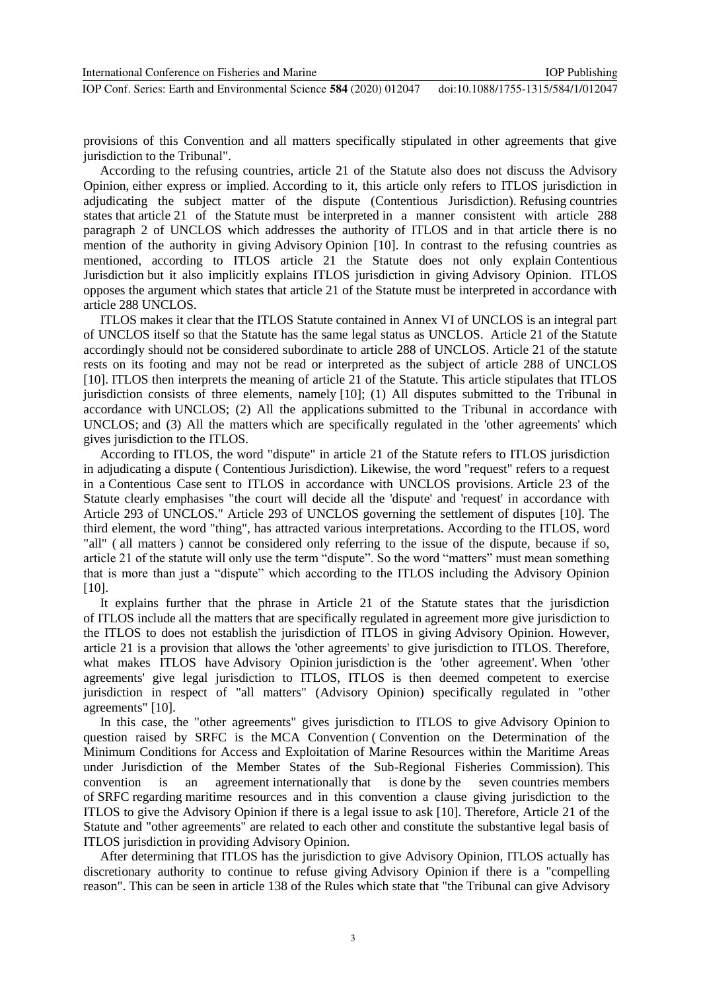provisions of this Convention and all matters specifically stipulated in other agreements that give jurisdiction to the Tribunal".

According to the refusing countries, article 21 of the Statute also does not discuss the Advisory Opinion, either express or implied. According to it, this article only refers to ITLOS jurisdiction in adjudicating the subject matter of the dispute (Contentious Jurisdiction). Refusing countries states that article 21 of the Statute must be interpreted in a manner consistent with article 288 paragraph 2 of UNCLOS which addresses the authority of ITLOS and in that article there is no mention of the authority in giving Advisory Opinion [10]. In contrast to the refusing countries as mentioned, according to ITLOS article 21 the Statute does not only explain Contentious Jurisdiction but it also implicitly explains ITLOS jurisdiction in giving Advisory Opinion. ITLOS opposes the argument which states that article 21 of the Statute must be interpreted in accordance with article 288 UNCLOS.

ITLOS makes it clear that the ITLOS Statute contained in Annex VI of UNCLOS is an integral part of UNCLOS itself so that the Statute has the same legal status as UNCLOS. Article 21 of the Statute accordingly should not be considered subordinate to article 288 of UNCLOS. Article 21 of the statute rests on its footing and may not be read or interpreted as the subject of article 288 of UNCLOS [10]. ITLOS then interprets the meaning of article 21 of the Statute. This article stipulates that ITLOS jurisdiction consists of three elements, namely [10]; (1) All disputes submitted to the Tribunal in accordance with UNCLOS; (2) All the applications submitted to the Tribunal in accordance with UNCLOS; and (3) All the matters which are specifically regulated in the 'other agreements' which gives jurisdiction to the ITLOS.

According to ITLOS, the word "dispute" in article 21 of the Statute refers to ITLOS jurisdiction in adjudicating a dispute ( Contentious Jurisdiction). Likewise, the word "request" refers to a request in a Contentious Case sent to ITLOS in accordance with UNCLOS provisions. Article 23 of the Statute clearly emphasises "the court will decide all the 'dispute' and 'request' in accordance with Article 293 of UNCLOS." Article 293 of UNCLOS governing the settlement of disputes [10]. The third element, the word "thing", has attracted various interpretations. According to the ITLOS, word "all" ( all matters ) cannot be considered only referring to the issue of the dispute, because if so, article 21 of the statute will only use the term "dispute". So the word "matters" must mean something that is more than just a "dispute" which according to the ITLOS including the Advisory Opinion [10].

It explains further that the phrase in Article 21 of the Statute states that the jurisdiction of ITLOS include all the matters that are specifically regulated in agreement more give jurisdiction to the ITLOS to does not establish the jurisdiction of ITLOS in giving Advisory Opinion. However, article 21 is a provision that allows the 'other agreements' to give jurisdiction to ITLOS. Therefore, what makes ITLOS have Advisory Opinion jurisdiction is the 'other agreement'. When 'other agreements' give legal jurisdiction to ITLOS, ITLOS is then deemed competent to exercise jurisdiction in respect of "all matters" (Advisory Opinion) specifically regulated in "other agreements" [10].

In this case, the "other agreements" gives jurisdiction to ITLOS to give Advisory Opinion to question raised by SRFC is the MCA Convention ( Convention on the Determination of the Minimum Conditions for Access and Exploitation of Marine Resources within the Maritime Areas under Jurisdiction of the Member States of the Sub-Regional Fisheries Commission). This convention is an agreement internationally that is done by the seven countries members of SRFC regarding maritime resources and in this convention a clause giving jurisdiction to the ITLOS to give the Advisory Opinion if there is a legal issue to ask [10]. Therefore, Article 21 of the Statute and "other agreements" are related to each other and constitute the substantive legal basis of ITLOS jurisdiction in providing Advisory Opinion.

After determining that ITLOS has the jurisdiction to give Advisory Opinion, ITLOS actually has discretionary authority to continue to refuse giving Advisory Opinion if there is a "compelling reason". This can be seen in article 138 of the Rules which state that "the Tribunal can give Advisory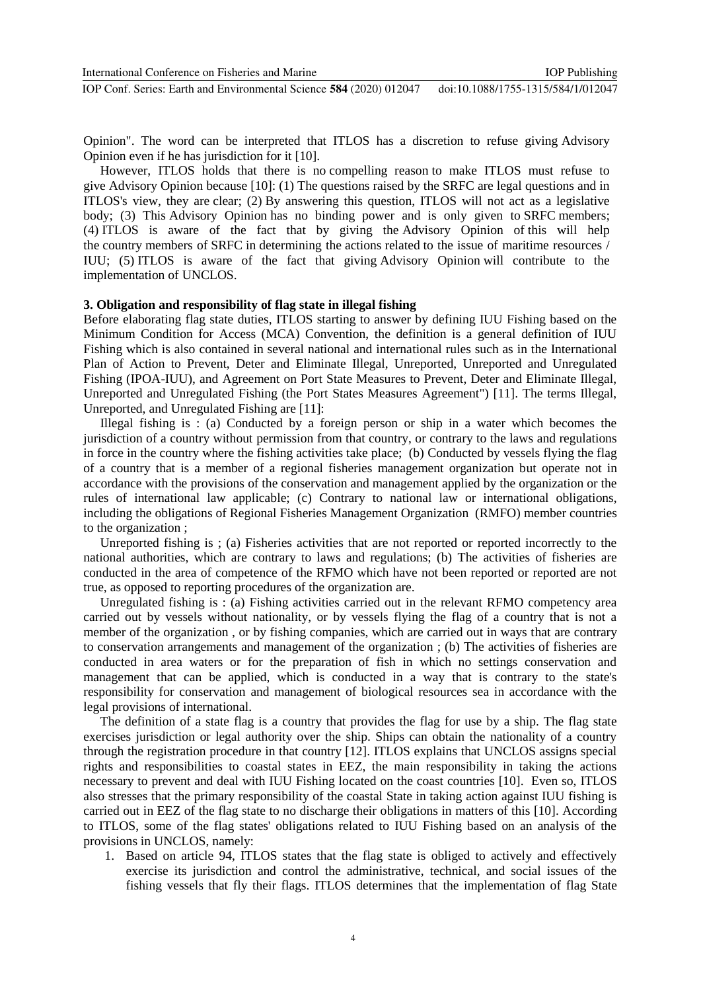IOP Conf. Series: Earth and Environmental Science **584** (2020) 012047 doi:10.1088/1755-1315/584/1/012047

Opinion". The word can be interpreted that ITLOS has a discretion to refuse giving Advisory Opinion even if he has jurisdiction for it [10].

However, ITLOS holds that there is no compelling reason to make ITLOS must refuse to give Advisory Opinion because [10]: (1) The questions raised by the SRFC are legal questions and in ITLOS's view, they are clear; (2) By answering this question, ITLOS will not act as a legislative body; (3) This Advisory Opinion has no binding power and is only given to SRFC members; (4) ITLOS is aware of the fact that by giving the Advisory Opinion of this will help the country members of SRFC in determining the actions related to the issue of maritime resources / IUU; (5) ITLOS is aware of the fact that giving Advisory Opinion will contribute to the implementation of UNCLOS.

#### **3. Obligation and responsibility of flag state in illegal fishing**

Before elaborating flag state duties, ITLOS starting to answer by defining IUU Fishing based on the Minimum Condition for Access (MCA) Convention, the definition is a general definition of IUU Fishing which is also contained in several national and international rules such as in the International Plan of Action to Prevent, Deter and Eliminate Illegal, Unreported, Unreported and Unregulated Fishing (IPOA-IUU), and Agreement on Port State Measures to Prevent, Deter and Eliminate Illegal, Unreported and Unregulated Fishing (the Port States Measures Agreement") [11]. The terms Illegal, Unreported, and Unregulated Fishing are [11]:

Illegal fishing is : (a) Conducted by a foreign person or ship in a water which becomes the jurisdiction of a country without permission from that country, or contrary to the laws and regulations in force in the country where the fishing activities take place; (b) Conducted by vessels flying the flag of a country that is a member of a regional fisheries management organization but operate not in accordance with the provisions of the conservation and management applied by the organization or the rules of international law applicable; (c) Contrary to national law or international obligations, including the obligations of Regional Fisheries Management Organization (RMFO) member countries to the organization ;

Unreported fishing is ; (a) Fisheries activities that are not reported or reported incorrectly to the national authorities, which are contrary to laws and regulations; (b) The activities of fisheries are conducted in the area of competence of the RFMO which have not been reported or reported are not true, as opposed to reporting procedures of the organization are.

Unregulated fishing is : (a) Fishing activities carried out in the relevant RFMO competency area carried out by vessels without nationality, or by vessels flying the flag of a country that is not a member of the organization , or by fishing companies, which are carried out in ways that are contrary to conservation arrangements and management of the organization ; (b) The activities of fisheries are conducted in area waters or for the preparation of fish in which no settings conservation and management that can be applied, which is conducted in a way that is contrary to the state's responsibility for conservation and management of biological resources sea in accordance with the legal provisions of international.

The definition of a state flag is a country that provides the flag for use by a ship. The flag state exercises jurisdiction or legal authority over the ship. Ships can obtain the nationality of a country through the registration procedure in that country [12]. ITLOS explains that UNCLOS assigns special rights and responsibilities to coastal states in EEZ, the main responsibility in taking the actions necessary to prevent and deal with IUU Fishing located on the coast countries [10]. Even so, ITLOS also stresses that the primary responsibility of the coastal State in taking action against IUU fishing is carried out in EEZ of the flag state to no discharge their obligations in matters of this [10]. According to ITLOS, some of the flag states' obligations related to IUU Fishing based on an analysis of the provisions in UNCLOS, namely:

1. Based on article 94, ITLOS states that the flag state is obliged to actively and effectively exercise its jurisdiction and control the administrative, technical, and social issues of the fishing vessels that fly their flags. ITLOS determines that the implementation of flag State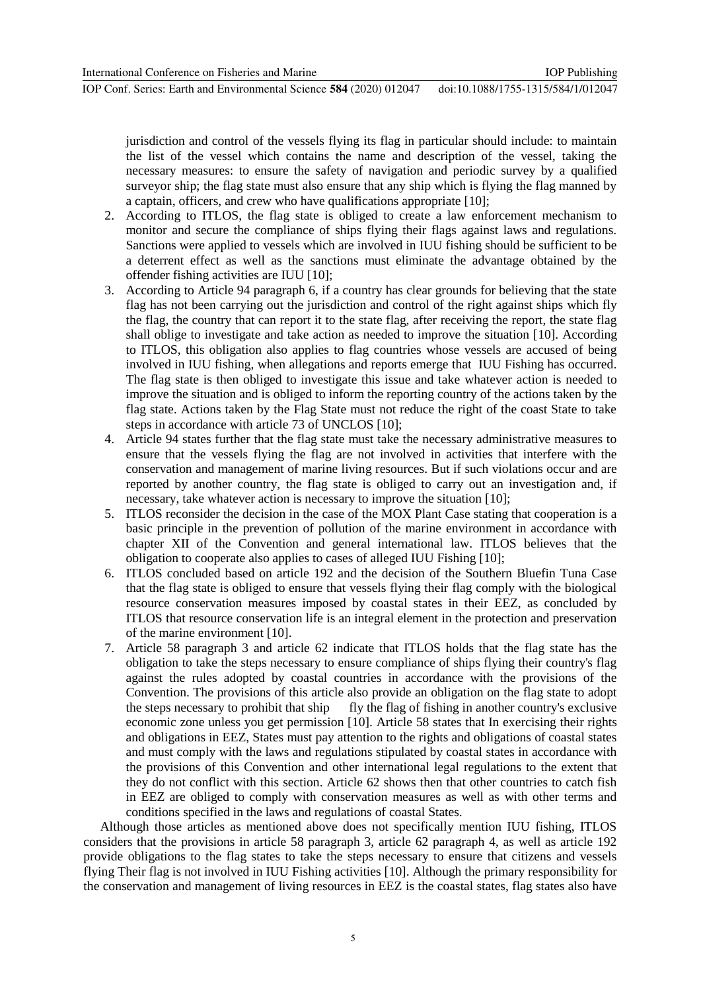jurisdiction and control of the vessels flying its flag in particular should include: to maintain the list of the vessel which contains the name and description of the vessel, taking the necessary measures: to ensure the safety of navigation and periodic survey by a qualified surveyor ship; the flag state must also ensure that any ship which is flying the flag manned by a captain, officers, and crew who have qualifications appropriate [10];

- 2. According to ITLOS, the flag state is obliged to create a law enforcement mechanism to monitor and secure the compliance of ships flying their flags against laws and regulations. Sanctions were applied to vessels which are involved in IUU fishing should be sufficient to be a deterrent effect as well as the sanctions must eliminate the advantage obtained by the offender fishing activities are IUU [10];
- 3. According to Article 94 paragraph 6, if a country has clear grounds for believing that the state flag has not been carrying out the jurisdiction and control of the right against ships which fly the flag, the country that can report it to the state flag, after receiving the report, the state flag shall oblige to investigate and take action as needed to improve the situation [10]. According to ITLOS, this obligation also applies to flag countries whose vessels are accused of being involved in IUU fishing, when allegations and reports emerge that IUU Fishing has occurred. The flag state is then obliged to investigate this issue and take whatever action is needed to improve the situation and is obliged to inform the reporting country of the actions taken by the flag state. Actions taken by the Flag State must not reduce the right of the coast State to take steps in accordance with article 73 of UNCLOS [10];
- 4. Article 94 states further that the flag state must take the necessary administrative measures to ensure that the vessels flying the flag are not involved in activities that interfere with the conservation and management of marine living resources. But if such violations occur and are reported by another country, the flag state is obliged to carry out an investigation and, if necessary, take whatever action is necessary to improve the situation [10];
- 5. ITLOS reconsider the decision in the case of the MOX Plant Case stating that cooperation is a basic principle in the prevention of pollution of the marine environment in accordance with chapter XII of the Convention and general international law. ITLOS believes that the obligation to cooperate also applies to cases of alleged IUU Fishing [10];
- 6. ITLOS concluded based on article 192 and the decision of the Southern Bluefin Tuna Case that the flag state is obliged to ensure that vessels flying their flag comply with the biological resource conservation measures imposed by coastal states in their EEZ, as concluded by ITLOS that resource conservation life is an integral element in the protection and preservation of the marine environment [10].
- 7. Article 58 paragraph 3 and article 62 indicate that ITLOS holds that the flag state has the obligation to take the steps necessary to ensure compliance of ships flying their country's flag against the rules adopted by coastal countries in accordance with the provisions of the Convention. The provisions of this article also provide an obligation on the flag state to adopt the steps necessary to prohibit that ship fly the flag of fishing in another country's exclusive economic zone unless you get permission [10]. Article 58 states that In exercising their rights and obligations in EEZ, States must pay attention to the rights and obligations of coastal states and must comply with the laws and regulations stipulated by coastal states in accordance with the provisions of this Convention and other international legal regulations to the extent that they do not conflict with this section. Article 62 shows then that other countries to catch fish in EEZ are obliged to comply with conservation measures as well as with other terms and conditions specified in the laws and regulations of coastal States.

Although those articles as mentioned above does not specifically mention IUU fishing, ITLOS considers that the provisions in article 58 paragraph 3, article 62 paragraph 4, as well as article 192 provide obligations to the flag states to take the steps necessary to ensure that citizens and vessels flying Their flag is not involved in IUU Fishing activities [10]. Although the primary responsibility for the conservation and management of living resources in EEZ is the coastal states, flag states also have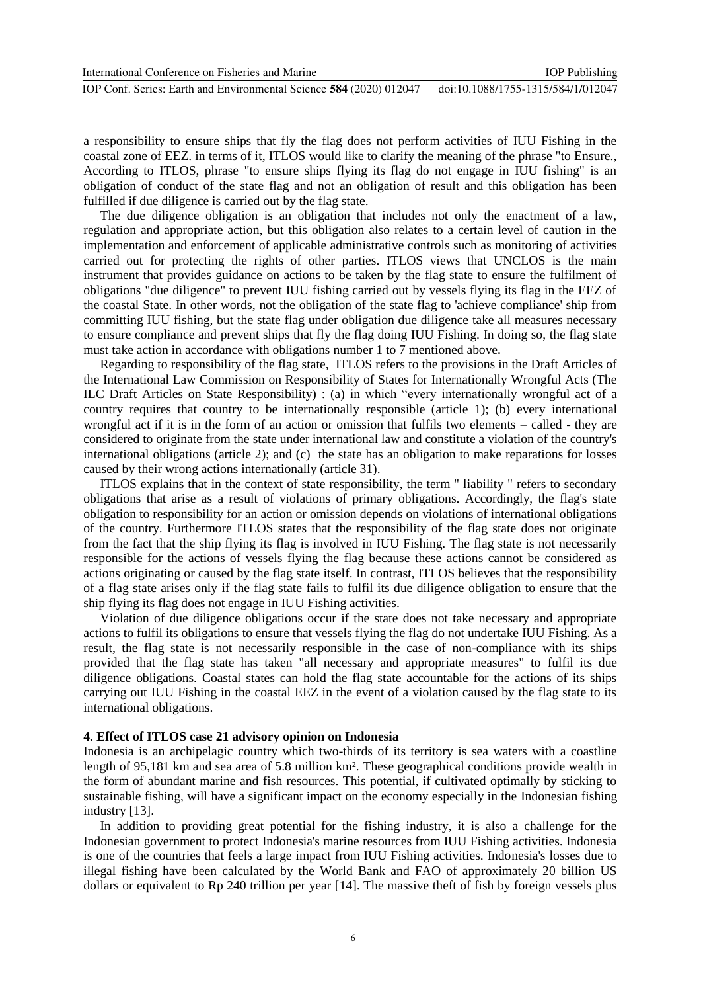a responsibility to ensure ships that fly the flag does not perform activities of IUU Fishing in the coastal zone of EEZ. in terms of it, ITLOS would like to clarify the meaning of the phrase "to Ensure., According to ITLOS, phrase "to ensure ships flying its flag do not engage in IUU fishing" is an obligation of conduct of the state flag and not an obligation of result and this obligation has been fulfilled if due diligence is carried out by the flag state.

The due diligence obligation is an obligation that includes not only the enactment of a law, regulation and appropriate action, but this obligation also relates to a certain level of caution in the implementation and enforcement of applicable administrative controls such as monitoring of activities carried out for protecting the rights of other parties. ITLOS views that UNCLOS is the main instrument that provides guidance on actions to be taken by the flag state to ensure the fulfilment of obligations "due diligence" to prevent IUU fishing carried out by vessels flying its flag in the EEZ of the coastal State. In other words, not the obligation of the state flag to 'achieve compliance' ship from committing IUU fishing, but the state flag under obligation due diligence take all measures necessary to ensure compliance and prevent ships that fly the flag doing IUU Fishing. In doing so, the flag state must take action in accordance with obligations number 1 to 7 mentioned above.

Regarding to responsibility of the flag state, ITLOS refers to the provisions in the Draft Articles of the International Law Commission on Responsibility of States for Internationally Wrongful Acts (The ILC Draft Articles on State Responsibility) : (a) in which "every internationally wrongful act of a country requires that country to be internationally responsible (article 1); (b) every international wrongful act if it is in the form of an action or omission that fulfils two elements – called - they are considered to originate from the state under international law and constitute a violation of the country's international obligations (article 2); and (c) the state has an obligation to make reparations for losses caused by their wrong actions internationally (article 31).

ITLOS explains that in the context of state responsibility, the term " liability " refers to secondary obligations that arise as a result of violations of primary obligations. Accordingly, the flag's state obligation to responsibility for an action or omission depends on violations of international obligations of the country. Furthermore ITLOS states that the responsibility of the flag state does not originate from the fact that the ship flying its flag is involved in IUU Fishing. The flag state is not necessarily responsible for the actions of vessels flying the flag because these actions cannot be considered as actions originating or caused by the flag state itself. In contrast, ITLOS believes that the responsibility of a flag state arises only if the flag state fails to fulfil its due diligence obligation to ensure that the ship flying its flag does not engage in IUU Fishing activities.

Violation of due diligence obligations occur if the state does not take necessary and appropriate actions to fulfil its obligations to ensure that vessels flying the flag do not undertake IUU Fishing. As a result, the flag state is not necessarily responsible in the case of non-compliance with its ships provided that the flag state has taken "all necessary and appropriate measures" to fulfil its due diligence obligations. Coastal states can hold the flag state accountable for the actions of its ships carrying out IUU Fishing in the coastal EEZ in the event of a violation caused by the flag state to its international obligations.

#### **4. Effect of ITLOS case 21 advisory opinion on Indonesia**

Indonesia is an archipelagic country which two-thirds of its territory is sea waters with a coastline length of 95,181 km and sea area of 5.8 million km². These geographical conditions provide wealth in the form of abundant marine and fish resources. This potential, if cultivated optimally by sticking to sustainable fishing, will have a significant impact on the economy especially in the Indonesian fishing industry [13].

In addition to providing great potential for the fishing industry, it is also a challenge for the Indonesian government to protect Indonesia's marine resources from IUU Fishing activities. Indonesia is one of the countries that feels a large impact from IUU Fishing activities. Indonesia's losses due to illegal fishing have been calculated by the World Bank and FAO of approximately 20 billion US dollars or equivalent to Rp 240 trillion per year [14]. The massive theft of fish by foreign vessels plus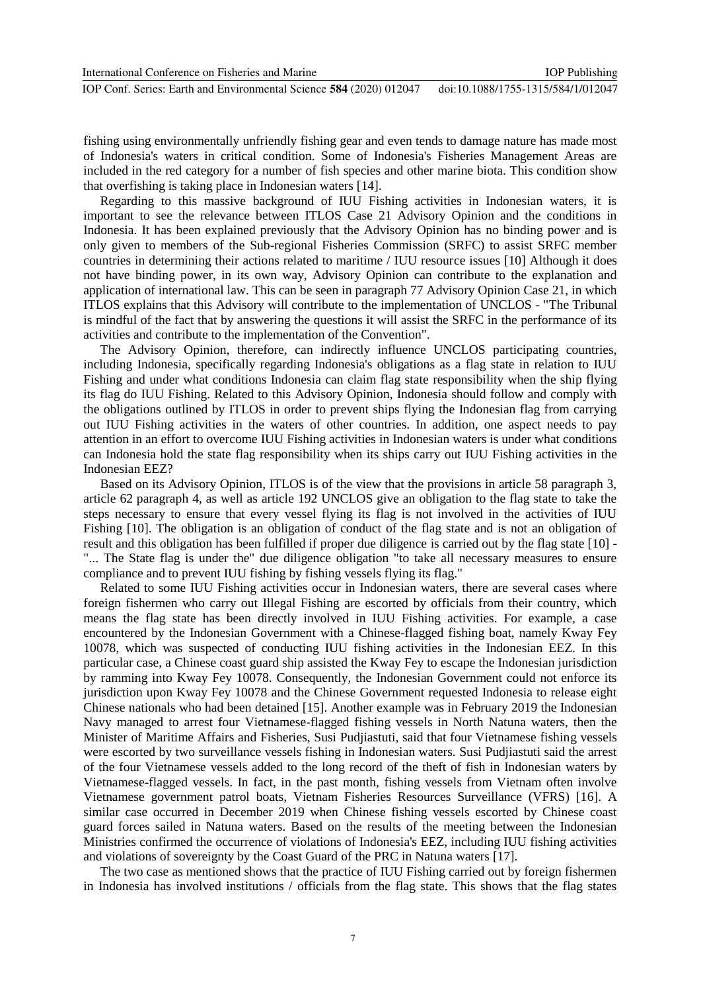International Conference on Fisheries and Marine

IOP Conf. Series: Earth and Environmental Science **584** (2020) 012047 doi:10.1088/1755-1315/584/1/012047

fishing using environmentally unfriendly fishing gear and even tends to damage nature has made most of Indonesia's waters in critical condition. Some of Indonesia's Fisheries Management Areas are included in the red category for a number of fish species and other marine biota. This condition show that overfishing is taking place in Indonesian waters [14].

Regarding to this massive background of IUU Fishing activities in Indonesian waters, it is important to see the relevance between ITLOS Case 21 Advisory Opinion and the conditions in Indonesia. It has been explained previously that the Advisory Opinion has no binding power and is only given to members of the Sub-regional Fisheries Commission (SRFC) to assist SRFC member countries in determining their actions related to maritime / IUU resource issues [10] Although it does not have binding power, in its own way, Advisory Opinion can contribute to the explanation and application of international law. This can be seen in paragraph 77 Advisory Opinion Case 21, in which ITLOS explains that this Advisory will contribute to the implementation of UNCLOS - "The Tribunal is mindful of the fact that by answering the questions it will assist the SRFC in the performance of its activities and contribute to the implementation of the Convention".

The Advisory Opinion, therefore, can indirectly influence UNCLOS participating countries, including Indonesia, specifically regarding Indonesia's obligations as a flag state in relation to IUU Fishing and under what conditions Indonesia can claim flag state responsibility when the ship flying its flag do IUU Fishing. Related to this Advisory Opinion, Indonesia should follow and comply with the obligations outlined by ITLOS in order to prevent ships flying the Indonesian flag from carrying out IUU Fishing activities in the waters of other countries. In addition, one aspect needs to pay attention in an effort to overcome IUU Fishing activities in Indonesian waters is under what conditions can Indonesia hold the state flag responsibility when its ships carry out IUU Fishing activities in the Indonesian EEZ?

Based on its Advisory Opinion, ITLOS is of the view that the provisions in article 58 paragraph 3, article 62 paragraph 4, as well as article 192 UNCLOS give an obligation to the flag state to take the steps necessary to ensure that every vessel flying its flag is not involved in the activities of IUU Fishing [10]. The obligation is an obligation of conduct of the flag state and is not an obligation of result and this obligation has been fulfilled if proper due diligence is carried out by the flag state [10] - "... The State flag is under the" due diligence obligation "to take all necessary measures to ensure compliance and to prevent IUU fishing by fishing vessels flying its flag."

Related to some IUU Fishing activities occur in Indonesian waters, there are several cases where foreign fishermen who carry out Illegal Fishing are escorted by officials from their country, which means the flag state has been directly involved in IUU Fishing activities. For example, a case encountered by the Indonesian Government with a Chinese-flagged fishing boat, namely Kway Fey 10078, which was suspected of conducting IUU fishing activities in the Indonesian EEZ. In this particular case, a Chinese coast guard ship assisted the Kway Fey to escape the Indonesian jurisdiction by ramming into Kway Fey 10078. Consequently, the Indonesian Government could not enforce its jurisdiction upon Kway Fey 10078 and the Chinese Government requested Indonesia to release eight Chinese nationals who had been detained [15]. Another example was in February 2019 the Indonesian Navy managed to arrest four Vietnamese-flagged fishing vessels in North Natuna waters, then the Minister of Maritime Affairs and Fisheries, Susi Pudjiastuti, said that four Vietnamese fishing vessels were escorted by two surveillance vessels fishing in Indonesian waters. Susi Pudjiastuti said the arrest of the four Vietnamese vessels added to the long record of the theft of fish in Indonesian waters by Vietnamese-flagged vessels. In fact, in the past month, fishing vessels from Vietnam often involve Vietnamese government patrol boats, Vietnam Fisheries Resources Surveillance (VFRS) [16]. A similar case occurred in December 2019 when Chinese fishing vessels escorted by Chinese coast guard forces sailed in Natuna waters. Based on the results of the meeting between the Indonesian Ministries confirmed the occurrence of violations of Indonesia's EEZ, including IUU fishing activities and violations of sovereignty by the Coast Guard of the PRC in Natuna waters [17].

The two case as mentioned shows that the practice of IUU Fishing carried out by foreign fishermen in Indonesia has involved institutions / officials from the flag state. This shows that the flag states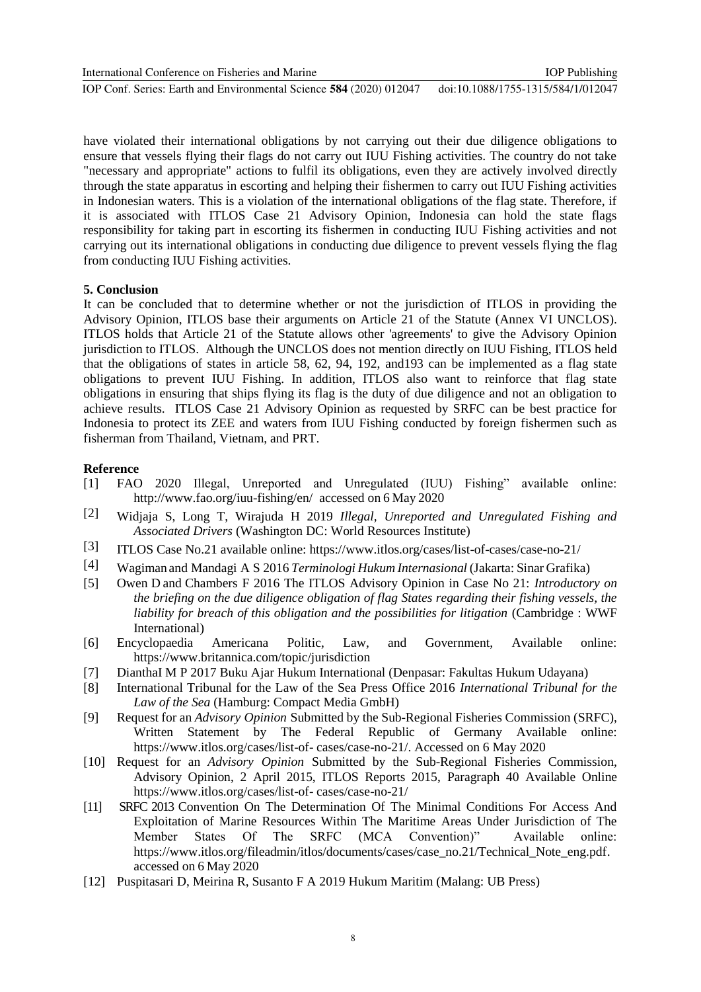International Conference on Fisheries and Marine

IOP Conf. Series: Earth and Environmental Science **584** (2020) 012047 doi:10.1088/1755-1315/584/1/012047

have violated their international obligations by not carrying out their due diligence obligations to ensure that vessels flying their flags do not carry out IUU Fishing activities. The country do not take "necessary and appropriate" actions to fulfil its obligations, even they are actively involved directly through the state apparatus in escorting and helping their fishermen to carry out IUU Fishing activities in Indonesian waters. This is a violation of the international obligations of the flag state. Therefore, if it is associated with ITLOS Case 21 Advisory Opinion, Indonesia can hold the state flags responsibility for taking part in escorting its fishermen in conducting IUU Fishing activities and not carrying out its international obligations in conducting due diligence to prevent vessels flying the flag from conducting IUU Fishing activities.

## **5. Conclusion**

It can be concluded that to determine whether or not the jurisdiction of ITLOS in providing the Advisory Opinion, ITLOS base their arguments on Article 21 of the Statute (Annex VI UNCLOS). ITLOS holds that Article 21 of the Statute allows other 'agreements' to give the Advisory Opinion jurisdiction to ITLOS. Although the UNCLOS does not mention directly on IUU Fishing, ITLOS held that the obligations of states in article 58, 62, 94, 192, and193 can be implemented as a flag state obligations to prevent IUU Fishing. In addition, ITLOS also want to reinforce that flag state obligations in ensuring that ships flying its flag is the duty of due diligence and not an obligation to achieve results. ITLOS Case 21 Advisory Opinion as requested by SRFC can be best practice for Indonesia to protect its ZEE and waters from IUU Fishing conducted by foreign fishermen such as fisherman from Thailand, Vietnam, and PRT.

# **Reference**

- [1] FAO 2020 Illegal, Unreported and Unregulated (IUU) Fishing" available online: <http://www.fao.org/iuu-fishing/en/>accessed on 6 May 2020
- [2] Widjaja S, Long T, Wirajuda H 2019 *Illegal, Unreported and Unregulated Fishing and Associated Drivers* (Washington DC: World Resources Institute)
- [3] ITLOS Case No.21 available online: https:/[/www.itlos.org/cases/list-of-cases/case-no-21/](http://www.itlos.org/cases/list-of-cases/case-no-21/)
- [4] Wagiman and Mandagi A S 2016 *Terminologi Hukum Internasional* (Jakarta: Sinar Grafika)
- [5] Owen D and Chambers F 2016 The ITLOS Advisory Opinion in Case No 21: *Introductory on the briefing on the due diligence obligation of flag States regarding their fishing vessels, the liability for breach of this obligation and the possibilities for litigation* (Cambridge : WWF International)
- [6] Encyclopaedia Americana Politic, Law, and Government, Available online: <https://www.britannica.com/topic/jurisdiction>
- [7] DianthaI M P 2017 Buku Ajar Hukum International (Denpasar: Fakultas Hukum Udayana)
- [8] International Tribunal for the Law of the Sea Press Office 2016 *International Tribunal for the Law of the Sea* (Hamburg: Compact Media GmbH)
- [9] Request for an *Advisory Opinion* Submitted by the Sub-Regional Fisheries Commission (SRFC), Written Statement by The Federal Republic of Germany Available online: https:/[/www.itlos.org/cases/list-of-](http://www.itlos.org/cases/list-of-) cases/case-no-21/. Accessed on 6 May 2020
- [10] Request for an *Advisory Opinion* Submitted by the Sub-Regional Fisheries Commission, Advisory Opinion, 2 April 2015, ITLOS Reports 2015, Paragraph 40 Available Online https:/[/www.itlos.org/cases/list-of-](http://www.itlos.org/cases/list-of-) cases/case-no-21/
- [11] SRFC 2013 Convention On The Determination Of The Minimal Conditions For Access And Exploitation of Marine Resources Within The Maritime Areas Under Jurisdiction of The Member States Of The SRFC (MCA Convention)" Available online: [https://www.itlos.org/fileadmin/itlos/documents/cases/case\\_no.21/Technical\\_Note\\_eng.pdf.](https://www.itlos.org/fileadmin/itlos/documents/cases/case_no.21/Technical_Note_eng.pdf) accessed on 6 May 2020
- [12] Puspitasari D, Meirina R, Susanto F A 2019 Hukum Maritim (Malang: UB Press)